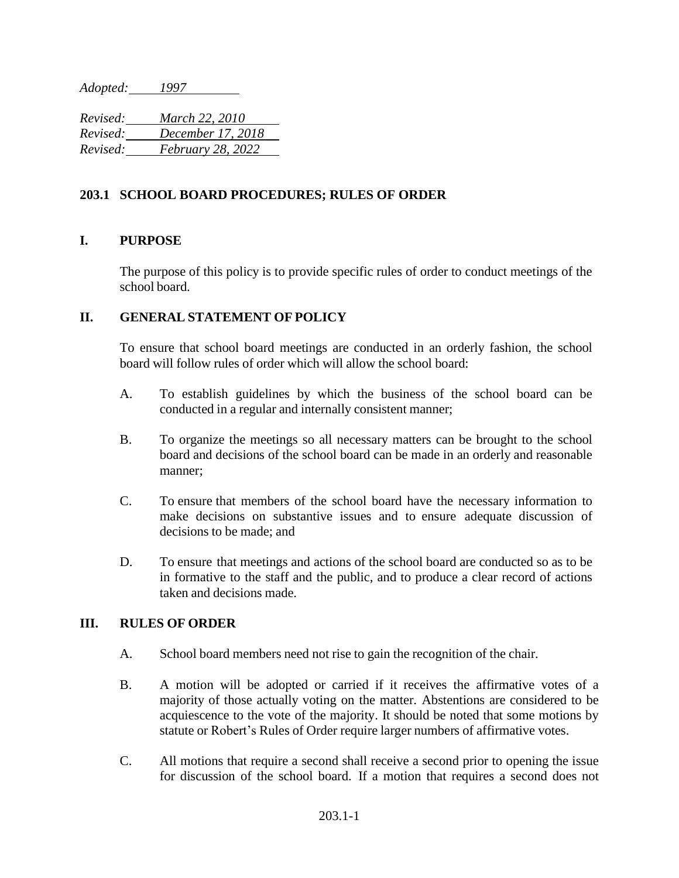*Adopted: 1997*

*Revised: March 22, 2010 Revised: December 17, 2018 Revised: February 28, 2022*

## **203.1 SCHOOL BOARD PROCEDURES; RULES OF ORDER**

## **I. PURPOSE**

The purpose of this policy is to provide specific rules of order to conduct meetings of the school board.

## **II. GENERAL STATEMENT OF POLICY**

To ensure that school board meetings are conducted in an orderly fashion, the school board will follow rules of order which will allow the school board:

- A. To establish guidelines by which the business of the school board can be conducted in a regular and internally consistent manner;
- B. To organize the meetings so all necessary matters can be brought to the school board and decisions of the school board can be made in an orderly and reasonable manner;
- C. To ensure that members of the school board have the necessary information to make decisions on substantive issues and to ensure adequate discussion of decisions to be made; and
- D. To ensure that meetings and actions of the school board are conducted so as to be in formative to the staff and the public, and to produce a clear record of actions taken and decisions made.

## **III. RULES OF ORDER**

- A. School board members need not rise to gain the recognition of the chair.
- B. A motion will be adopted or carried if it receives the affirmative votes of a majority of those actually voting on the matter. Abstentions are considered to be acquiescence to the vote of the majority. It should be noted that some motions by statute or Robert's Rules of Order require larger numbers of affirmative votes.
- C. All motions that require a second shall receive a second prior to opening the issue for discussion of the school board. If a motion that requires a second does not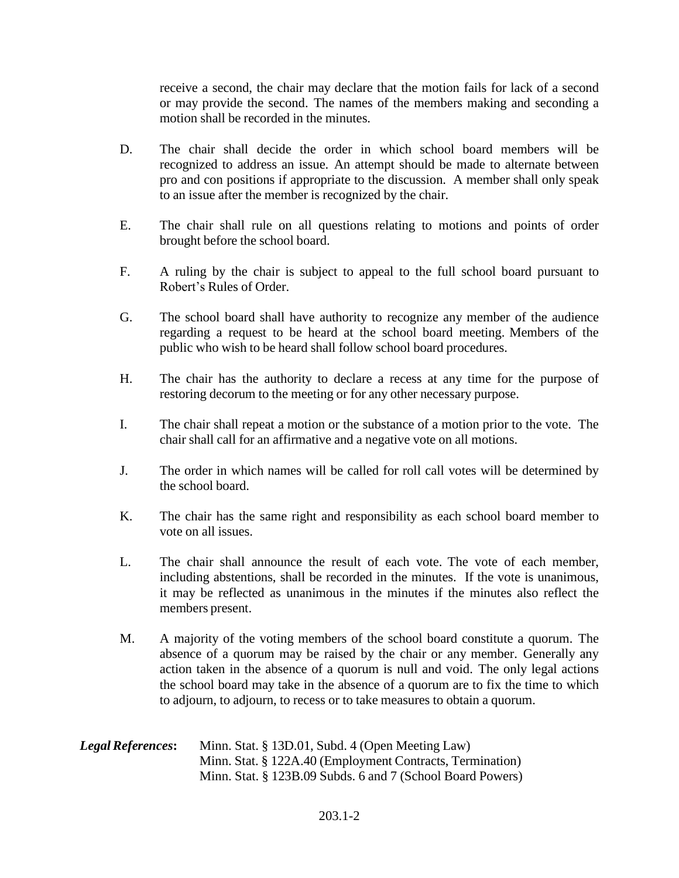receive a second, the chair may declare that the motion fails for lack of a second or may provide the second. The names of the members making and seconding a motion shall be recorded in the minutes.

- D. The chair shall decide the order in which school board members will be recognized to address an issue. An attempt should be made to alternate between pro and con positions if appropriate to the discussion. A member shall only speak to an issue after the member is recognized by the chair.
- E. The chair shall rule on all questions relating to motions and points of order brought before the school board.
- F. A ruling by the chair is subject to appeal to the full school board pursuant to Robert's Rules of Order.
- G. The school board shall have authority to recognize any member of the audience regarding a request to be heard at the school board meeting. Members of the public who wish to be heard shall follow school board procedures.
- H. The chair has the authority to declare a recess at any time for the purpose of restoring decorum to the meeting or for any other necessary purpose.
- I. The chair shall repeat a motion or the substance of a motion prior to the vote. The chair shall call for an affirmative and a negative vote on all motions.
- J. The order in which names will be called for roll call votes will be determined by the school board.
- K. The chair has the same right and responsibility as each school board member to vote on all issues.
- L. The chair shall announce the result of each vote. The vote of each member, including abstentions, shall be recorded in the minutes. If the vote is unanimous, it may be reflected as unanimous in the minutes if the minutes also reflect the members present.
- M. A majority of the voting members of the school board constitute a quorum. The absence of a quorum may be raised by the chair or any member. Generally any action taken in the absence of a quorum is null and void. The only legal actions the school board may take in the absence of a quorum are to fix the time to which to adjourn, to adjourn, to recess or to take measures to obtain a quorum.

| <b>Legal References:</b> | Minn. Stat. § 13D.01, Subd. 4 (Open Meeting Law)           |
|--------------------------|------------------------------------------------------------|
|                          | Minn. Stat. § 122A.40 (Employment Contracts, Termination)  |
|                          | Minn. Stat. § 123B.09 Subds. 6 and 7 (School Board Powers) |